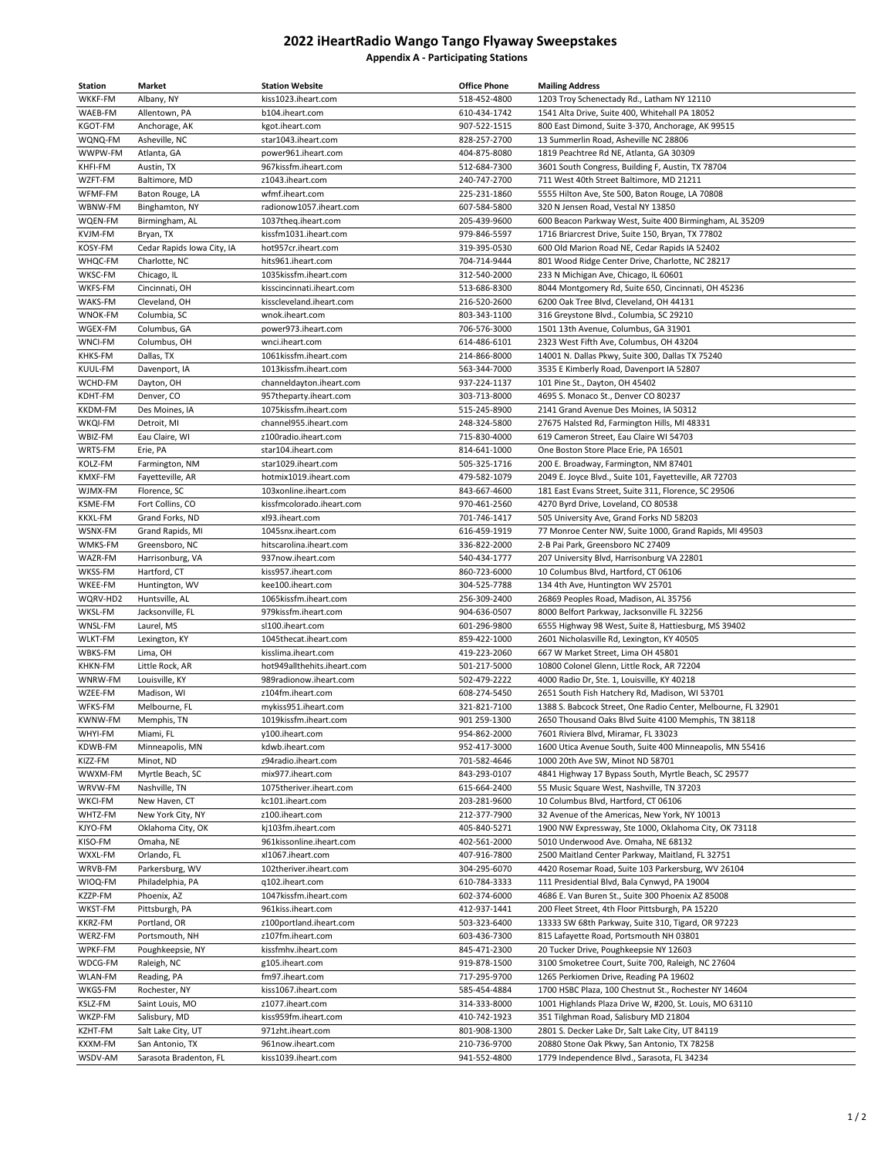## **2022 iHeartRadio Wango Tango Flyaway Sweepstakes Appendix A - Participating Stations**

| Station                   | Market                                    | <b>Station Website</b>                             | <b>Office Phone</b>          | <b>Mailing Address</b>                                                                                       |
|---------------------------|-------------------------------------------|----------------------------------------------------|------------------------------|--------------------------------------------------------------------------------------------------------------|
| WKKF-FM                   | Albany, NY                                | kiss1023.iheart.com                                | 518-452-4800                 | 1203 Troy Schenectady Rd., Latham NY 12110                                                                   |
| WAEB-FM                   | Allentown, PA                             | b104.iheart.com                                    | 610-434-1742                 | 1541 Alta Drive, Suite 400, Whitehall PA 18052                                                               |
| KGOT-FM                   | Anchorage, AK                             | kgot.iheart.com                                    | 907-522-1515                 | 800 East Dimond, Suite 3-370, Anchorage, AK 99515                                                            |
| WQNQ-FM                   | Asheville, NC                             | star1043.iheart.com                                | 828-257-2700                 | 13 Summerlin Road, Asheville NC 28806                                                                        |
| WWPW-FM                   | Atlanta, GA                               | power961.iheart.com                                | 404-875-8080                 | 1819 Peachtree Rd NE, Atlanta, GA 30309                                                                      |
| KHFI-FM                   | Austin, TX                                | 967kissfm.iheart.com                               | 512-684-7300                 | 3601 South Congress, Building F, Austin, TX 78704                                                            |
| WZFT-FM                   | Baltimore, MD                             | z1043.iheart.com                                   | 240-747-2700                 | 711 West 40th Street Baltimore, MD 21211                                                                     |
| WFMF-FM                   | Baton Rouge, LA                           | wfmf.iheart.com                                    | 225-231-1860                 | 5555 Hilton Ave, Ste 500, Baton Rouge, LA 70808                                                              |
| WBNW-FM                   | Binghamton, NY                            | radionow1057.iheart.com                            | 607-584-5800                 | 320 N Jensen Road, Vestal NY 13850                                                                           |
| WQEN-FM<br>KVJM-FM        | Birmingham, AL<br>Bryan, TX               | 1037theq.iheart.com<br>kissfm1031.iheart.com       | 205-439-9600<br>979-846-5597 | 600 Beacon Parkway West, Suite 400 Birmingham, AL 35209<br>1716 Briarcrest Drive, Suite 150, Bryan, TX 77802 |
| KOSY-FM                   | Cedar Rapids Iowa City, IA                | hot957cr.iheart.com                                | 319-395-0530                 | 600 Old Marion Road NE, Cedar Rapids IA 52402                                                                |
| WHQC-FM                   | Charlotte, NC                             | hits961.iheart.com                                 | 704-714-9444                 | 801 Wood Ridge Center Drive, Charlotte, NC 28217                                                             |
| WKSC-FM                   | Chicago, IL                               | 1035kissfm.iheart.com                              | 312-540-2000                 | 233 N Michigan Ave, Chicago, IL 60601                                                                        |
| WKFS-FM                   | Cincinnati, OH                            | kisscincinnati.iheart.com                          | 513-686-8300                 | 8044 Montgomery Rd, Suite 650, Cincinnati, OH 45236                                                          |
| WAKS-FM                   | Cleveland, OH                             | kisscleveland.iheart.com                           | 216-520-2600                 | 6200 Oak Tree Blvd, Cleveland, OH 44131                                                                      |
| WNOK-FM                   | Columbia, SC                              | wnok.iheart.com                                    | 803-343-1100                 | 316 Greystone Blvd., Columbia, SC 29210                                                                      |
| WGEX-FM                   | Columbus, GA                              | power973.iheart.com                                | 706-576-3000                 | 1501 13th Avenue, Columbus, GA 31901                                                                         |
| WNCI-FM                   | Columbus, OH                              | wnci.iheart.com                                    | 614-486-6101                 | 2323 West Fifth Ave, Columbus, OH 43204                                                                      |
| KHKS-FM                   | Dallas, TX                                | 1061kissfm.iheart.com                              | 214-866-8000                 | 14001 N. Dallas Pkwy, Suite 300, Dallas TX 75240                                                             |
| KUUL-FM                   | Davenport, IA                             | 1013kissfm.iheart.com                              | 563-344-7000                 | 3535 E Kimberly Road, Davenport IA 52807                                                                     |
| WCHD-FM                   | Dayton, OH                                | channeldayton.iheart.com                           | 937-224-1137                 | 101 Pine St., Dayton, OH 45402                                                                               |
| KDHT-FM                   | Denver, CO                                | 957theparty.iheart.com                             | 303-713-8000                 | 4695 S. Monaco St., Denver CO 80237                                                                          |
| <b>KKDM-FM</b>            | Des Moines, IA                            | 1075kissfm.iheart.com                              | 515-245-8900                 | 2141 Grand Avenue Des Moines, IA 50312                                                                       |
| WKQI-FM                   | Detroit, MI                               | channel955.iheart.com                              | 248-324-5800                 | 27675 Halsted Rd, Farmington Hills, MI 48331                                                                 |
| WBIZ-FM                   | Eau Claire, WI                            | z100radio.iheart.com                               | 715-830-4000                 | 619 Cameron Street, Eau Claire WI 54703                                                                      |
| WRTS-FM<br>KOLZ-FM        | Erie, PA                                  | star104.iheart.com<br>star1029.iheart.com          | 814-641-1000<br>505-325-1716 | One Boston Store Place Erie, PA 16501                                                                        |
| KMXF-FM                   | Farmington, NM<br>Fayetteville, AR        | hotmix1019.iheart.com                              | 479-582-1079                 | 200 E. Broadway, Farmington, NM 87401<br>2049 E. Joyce Blvd., Suite 101, Fayetteville, AR 72703              |
| WJMX-FM                   | Florence, SC                              | 103xonline.iheart.com                              | 843-667-4600                 | 181 East Evans Street, Suite 311, Florence, SC 29506                                                         |
| KSME-FM                   | Fort Collins, CO                          | kissfmcolorado.iheart.com                          | 970-461-2560                 | 4270 Byrd Drive, Loveland, CO 80538                                                                          |
| <b>KKXL-FM</b>            | Grand Forks, ND                           | xl93.iheart.com                                    | 701-746-1417                 | 505 University Ave, Grand Forks ND 58203                                                                     |
| WSNX-FM                   | Grand Rapids, MI                          | 1045snx.iheart.com                                 | 616-459-1919                 | 77 Monroe Center NW, Suite 1000, Grand Rapids, MI 49503                                                      |
| WMKS-FM                   | Greensboro, NC                            | hitscarolina.iheart.com                            | 336-822-2000                 | 2-B Pai Park, Greensboro NC 27409                                                                            |
| WAZR-FM                   | Harrisonburg, VA                          | 937now.iheart.com                                  | 540-434-1777                 | 207 University Blvd, Harrisonburg VA 22801                                                                   |
| WKSS-FM                   | Hartford, CT                              | kiss957.iheart.com                                 | 860-723-6000                 | 10 Columbus Blvd, Hartford, CT 06106                                                                         |
| WKEE-FM                   | Huntington, WV                            | kee100.iheart.com                                  | 304-525-7788                 | 134 4th Ave, Huntington WV 25701                                                                             |
| WQRV-HD2                  | Huntsville, AL                            | 1065kissfm.iheart.com                              | 256-309-2400                 | 26869 Peoples Road, Madison, AL 35756                                                                        |
| WKSL-FM                   | Jacksonville, FL                          | 979kissfm.iheart.com                               | 904-636-0507                 | 8000 Belfort Parkway, Jacksonville FL 32256                                                                  |
| WNSL-FM                   | Laurel, MS                                | sl100.iheart.com                                   | 601-296-9800                 | 6555 Highway 98 West, Suite 8, Hattiesburg, MS 39402                                                         |
| <b>WLKT-FM</b><br>WBKS-FM | Lexington, KY<br>Lima, OH                 | 1045thecat.iheart.com                              | 859-422-1000<br>419-223-2060 | 2601 Nicholasville Rd, Lexington, KY 40505<br>667 W Market Street, Lima OH 45801                             |
| KHKN-FM                   | Little Rock, AR                           | kisslima.iheart.com<br>hot949allthehits.iheart.com | 501-217-5000                 | 10800 Colonel Glenn, Little Rock, AR 72204                                                                   |
| WNRW-FM                   | Louisville, KY                            | 989radionow.iheart.com                             | 502-479-2222                 | 4000 Radio Dr, Ste. 1, Louisville, KY 40218                                                                  |
| WZEE-FM                   | Madison, WI                               | z104fm.iheart.com                                  | 608-274-5450                 | 2651 South Fish Hatchery Rd, Madison, WI 53701                                                               |
| WFKS-FM                   | Melbourne, FL                             | mykiss951.iheart.com                               | 321-821-7100                 | 1388 S. Babcock Street, One Radio Center, Melbourne, FL 32901                                                |
| <b>KWNW-FM</b>            | Memphis, TN                               | 1019kissfm.iheart.com                              | 901 259-1300                 | 2650 Thousand Oaks Blvd Suite 4100 Memphis, TN 38118                                                         |
| WHYI-FM                   | Miami, FL                                 | y100.iheart.com                                    | 954-862-2000                 | 7601 Riviera Blvd, Miramar, FL 33023                                                                         |
| KDWB-FM                   | Minneapolis, MN                           | kdwb.iheart.com                                    | 952-417-3000                 | 1600 Utica Avenue South, Suite 400 Minneapolis, MN 55416                                                     |
| KIZZ-FM                   | Minot, ND                                 | z94radio.iheart.com                                | 701-582-4646                 | 1000 20th Ave SW, Minot ND 58701                                                                             |
| WWXM-FM                   | Myrtle Beach, SC                          | mix977.iheart.com                                  | 843-293-0107                 | 4841 Highway 17 Bypass South, Myrtle Beach, SC 29577                                                         |
| WRVW-FM                   | Nashville, TN                             | 1075theriver.iheart.com                            | 615-664-2400                 | 55 Music Square West, Nashville, TN 37203                                                                    |
| WKCI-FM                   | New Haven, CT                             | kc101.iheart.com                                   | 203-281-9600                 | 10 Columbus Blvd, Hartford, CT 06106                                                                         |
| WHTZ-FM                   | New York City, NY                         | z100.iheart.com                                    | 212-377-7900                 | 32 Avenue of the Americas, New York, NY 10013                                                                |
| KJYO-FM                   | Oklahoma City, OK                         | kj103fm.iheart.com<br>961kissonline.iheart.com     | 405-840-5271<br>402-561-2000 | 1900 NW Expressway, Ste 1000, Oklahoma City, OK 73118                                                        |
| KISO-FM<br>WXXL-FM        | Omaha, NE<br>Orlando, FL                  |                                                    | 407-916-7800                 | 5010 Underwood Ave. Omaha, NE 68132<br>2500 Maitland Center Parkway, Maitland, FL 32751                      |
| WRVB-FM                   | Parkersburg, WV                           | xl1067.iheart.com<br>102theriver.iheart.com        | 304-295-6070                 | 4420 Rosemar Road, Suite 103 Parkersburg, WV 26104                                                           |
| WIOQ-FM                   | Philadelphia, PA                          | q102.iheart.com                                    | 610-784-3333                 | 111 Presidential Blvd, Bala Cynwyd, PA 19004                                                                 |
| KZZP-FM                   | Phoenix, AZ                               | 1047kissfm.iheart.com                              | 602-374-6000                 | 4686 E. Van Buren St., Suite 300 Phoenix AZ 85008                                                            |
| WKST-FM                   | Pittsburgh, PA                            | 961kiss.iheart.com                                 | 412-937-1441                 | 200 Fleet Street, 4th Floor Pittsburgh, PA 15220                                                             |
| KKRZ-FM                   | Portland, OR                              | z100portland.iheart.com                            | 503-323-6400                 | 13333 SW 68th Parkway, Suite 310, Tigard, OR 97223                                                           |
| WERZ-FM                   | Portsmouth, NH                            | z107fm.iheart.com                                  | 603-436-7300                 | 815 Lafayette Road, Portsmouth NH 03801                                                                      |
| WPKF-FM                   | Poughkeepsie, NY                          | kissfmhv.iheart.com                                | 845-471-2300                 | 20 Tucker Drive, Poughkeepsie NY 12603                                                                       |
| WDCG-FM                   | Raleigh, NC                               | g105.iheart.com                                    | 919-878-1500                 | 3100 Smoketree Court, Suite 700, Raleigh, NC 27604                                                           |
| <b>WLAN-FM</b>            | Reading, PA                               | fm97.iheart.com                                    | 717-295-9700                 | 1265 Perkiomen Drive, Reading PA 19602                                                                       |
| WKGS-FM                   | Rochester, NY                             | kiss1067.iheart.com                                | 585-454-4884                 | 1700 HSBC Plaza, 100 Chestnut St., Rochester NY 14604                                                        |
| KSLZ-FM                   | Saint Louis, MO                           | z1077.iheart.com                                   | 314-333-8000                 | 1001 Highlands Plaza Drive W, #200, St. Louis, MO 63110                                                      |
| WKZP-FM                   | Salisbury, MD                             | kiss959fm.iheart.com                               | 410-742-1923                 | 351 Tilghman Road, Salisbury MD 21804                                                                        |
| KZHT-FM                   | Salt Lake City, UT                        | 971zht.iheart.com                                  | 801-908-1300                 | 2801 S. Decker Lake Dr, Salt Lake City, UT 84119                                                             |
| KXXM-FM<br>WSDV-AM        | San Antonio, TX<br>Sarasota Bradenton, FL | 961now.iheart.com<br>kiss1039.iheart.com           | 210-736-9700<br>941-552-4800 | 20880 Stone Oak Pkwy, San Antonio, TX 78258<br>1779 Independence Blvd., Sarasota, FL 34234                   |
|                           |                                           |                                                    |                              |                                                                                                              |